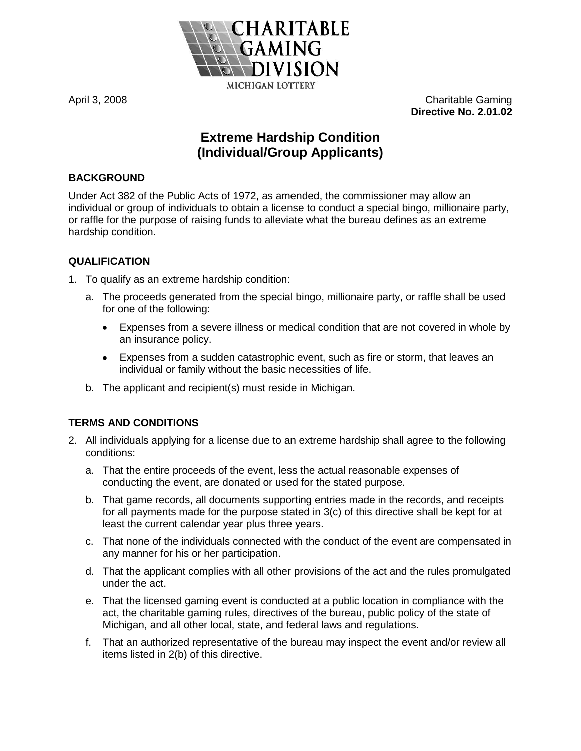

April 3, 2008 Charitable Gaming **Directive No. 2.01.02**

# **Extreme Hardship Condition (Individual/Group Applicants)**

## **BACKGROUND**

Under Act 382 of the Public Acts of 1972, as amended, the commissioner may allow an individual or group of individuals to obtain a license to conduct a special bingo, millionaire party, or raffle for the purpose of raising funds to alleviate what the bureau defines as an extreme hardship condition.

## **QUALIFICATION**

- 1. To qualify as an extreme hardship condition:
	- a. The proceeds generated from the special bingo, millionaire party, or raffle shall be used for one of the following:
		- Expenses from a severe illness or medical condition that are not covered in whole by  $\bullet$ an insurance policy.
		- Expenses from a sudden catastrophic event, such as fire or storm, that leaves an individual or family without the basic necessities of life.
	- b. The applicant and recipient(s) must reside in Michigan.

## **TERMS AND CONDITIONS**

- 2. All individuals applying for a license due to an extreme hardship shall agree to the following conditions:
	- a. That the entire proceeds of the event, less the actual reasonable expenses of conducting the event, are donated or used for the stated purpose.
	- b. That game records, all documents supporting entries made in the records, and receipts for all payments made for the purpose stated in 3(c) of this directive shall be kept for at least the current calendar year plus three years.
	- c. That none of the individuals connected with the conduct of the event are compensated in any manner for his or her participation.
	- d. That the applicant complies with all other provisions of the act and the rules promulgated under the act.
	- e. That the licensed gaming event is conducted at a public location in compliance with the act, the charitable gaming rules, directives of the bureau, public policy of the state of Michigan, and all other local, state, and federal laws and regulations.
	- f. That an authorized representative of the bureau may inspect the event and/or review all items listed in 2(b) of this directive.